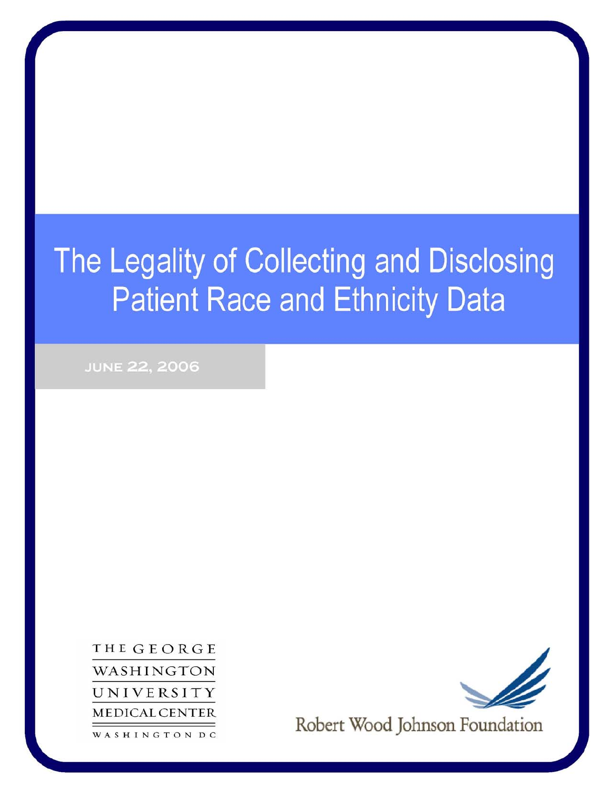# The Legality of Collecting and Disclosing **Patient Race and Ethnicity Data**

**JUNE 22, 2006** 

THEGEORGE WASHINGTON UNIVERSITY **MEDICAL CENTER** WASHINGTON DC



Robert Wood Johnson Foundation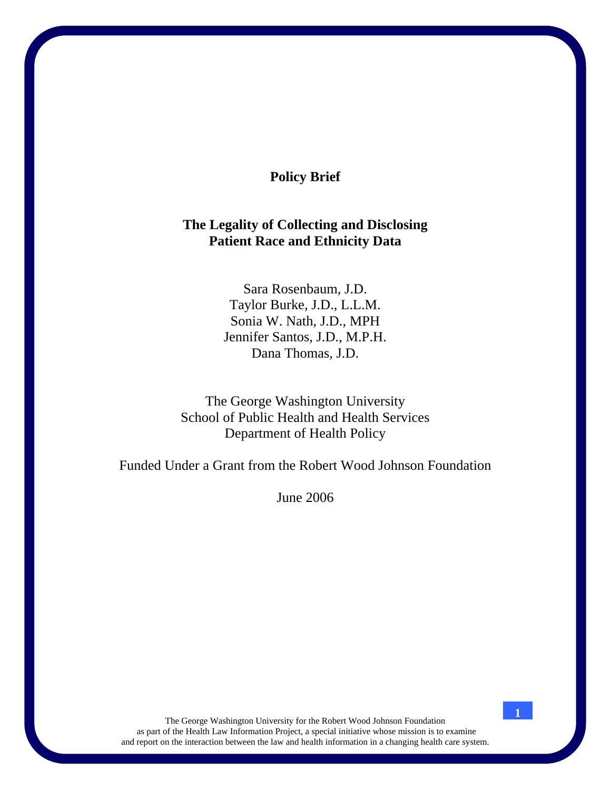# **Policy Brief**

# **The Legality of Collecting and Disclosing Patient Race and Ethnicity Data**

Sara Rosenbaum, J.D. Taylor Burke, J.D., L.L.M. Sonia W. Nath, J.D., MPH Jennifer Santos, J.D., M.P.H. Dana Thomas, J.D.

The George Washington University School of Public Health and Health Services Department of Health Policy

Funded Under a Grant from the Robert Wood Johnson Foundation

June 2006

The George Washington University for the Robert Wood Johnson Foundation as part of the Health Law Information Project, a special initiative whose mission is to examine and report on the interaction between the law and health information in a changing health care system.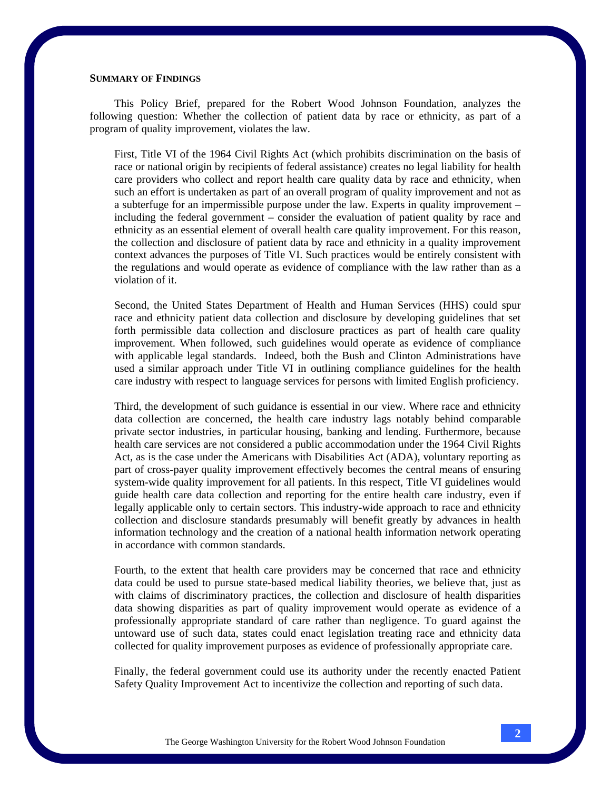#### **SUMMARY OF FINDINGS**

This Policy Brief, prepared for the Robert Wood Johnson Foundation, analyzes the following question: Whether the collection of patient data by race or ethnicity, as part of a program of quality improvement, violates the law.

First, Title VI of the 1964 Civil Rights Act (which prohibits discrimination on the basis of race or national origin by recipients of federal assistance) creates no legal liability for health care providers who collect and report health care quality data by race and ethnicity, when such an effort is undertaken as part of an overall program of quality improvement and not as a subterfuge for an impermissible purpose under the law. Experts in quality improvement – including the federal government – consider the evaluation of patient quality by race and ethnicity as an essential element of overall health care quality improvement. For this reason, the collection and disclosure of patient data by race and ethnicity in a quality improvement context advances the purposes of Title VI. Such practices would be entirely consistent with the regulations and would operate as evidence of compliance with the law rather than as a violation of it.

Second, the United States Department of Health and Human Services (HHS) could spur race and ethnicity patient data collection and disclosure by developing guidelines that set forth permissible data collection and disclosure practices as part of health care quality improvement. When followed, such guidelines would operate as evidence of compliance with applicable legal standards. Indeed, both the Bush and Clinton Administrations have used a similar approach under Title VI in outlining compliance guidelines for the health care industry with respect to language services for persons with limited English proficiency.

Third, the development of such guidance is essential in our view. Where race and ethnicity data collection are concerned, the health care industry lags notably behind comparable private sector industries, in particular housing, banking and lending. Furthermore, because health care services are not considered a public accommodation under the 1964 Civil Rights Act, as is the case under the Americans with Disabilities Act (ADA), voluntary reporting as part of cross-payer quality improvement effectively becomes the central means of ensuring system-wide quality improvement for all patients. In this respect, Title VI guidelines would guide health care data collection and reporting for the entire health care industry, even if legally applicable only to certain sectors. This industry-wide approach to race and ethnicity collection and disclosure standards presumably will benefit greatly by advances in health information technology and the creation of a national health information network operating in accordance with common standards.

Fourth, to the extent that health care providers may be concerned that race and ethnicity data could be used to pursue state-based medical liability theories, we believe that, just as with claims of discriminatory practices, the collection and disclosure of health disparities data showing disparities as part of quality improvement would operate as evidence of a professionally appropriate standard of care rather than negligence. To guard against the untoward use of such data, states could enact legislation treating race and ethnicity data collected for quality improvement purposes as evidence of professionally appropriate care.

Finally, the federal government could use its authority under the recently enacted Patient Safety Quality Improvement Act to incentivize the collection and reporting of such data.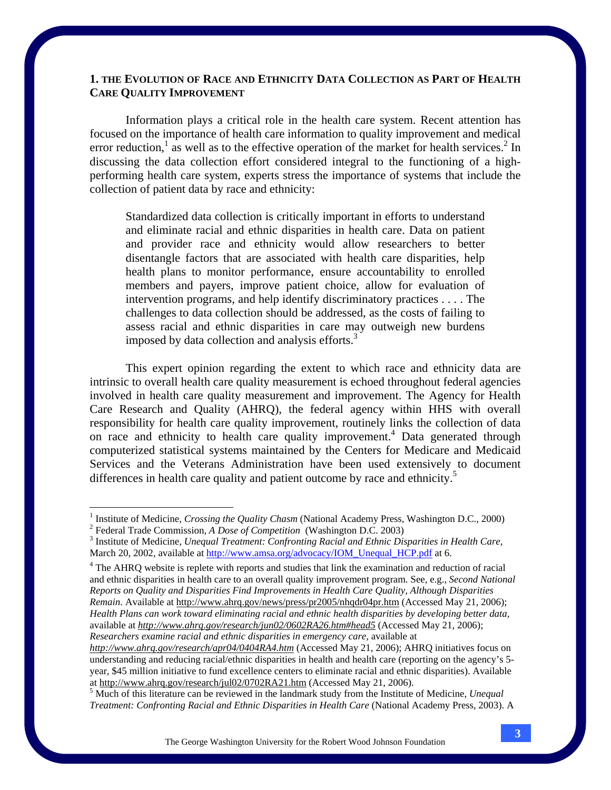# **1. THE EVOLUTION OF RACE AND ETHNICITY DATA COLLECTION AS PART OF HEALTH CARE QUALITY IMPROVEMENT**

 Information plays a critical role in the health care system. Recent attention has focused on the importance of health care information to quality improvement and medical error reduction,<sup>1</sup> as well as to the effective operation of the market for health services.<sup>2</sup> In discussing the data collection effort considered integral to the functioning of a highperforming health care system, experts stress the importance of systems that include the collection of patient data by race and ethnicity:

Standardized data collection is critically important in efforts to understand and eliminate racial and ethnic disparities in health care. Data on patient and provider race and ethnicity would allow researchers to better disentangle factors that are associated with health care disparities, help health plans to monitor performance, ensure accountability to enrolled members and payers, improve patient choice, allow for evaluation of intervention programs, and help identify discriminatory practices . . . . The challenges to data collection should be addressed, as the costs of failing to assess racial and ethnic disparities in care may outweigh new burdens imposed by data collection and analysis efforts. $3$ 

 This expert opinion regarding the extent to which race and ethnicity data are intrinsic to overall health care quality measurement is echoed throughout federal agencies involved in health care quality measurement and improvement. The Agency for Health Care Research and Quality (AHRQ), the federal agency within HHS with overall responsibility for health care quality improvement, routinely links the collection of data on race and ethnicity to health care quality improvement.<sup>4</sup> Data generated through computerized statistical systems maintained by the Centers for Medicare and Medicaid Services and the Veterans Administration have been used extensively to document differences in health care quality and patient outcome by race and ethnicity.<sup>5</sup>

<sup>&</sup>lt;sup>1</sup> Institute of Medicine, *Crossing the Quality Chasm* (National Academy Press, Washington D.C., 2000) <sup>2</sup><br><sup>2</sup> Enderel Trade Commission, A. Dese of Competition, (Weshington D.C. 2003)

<sup>&</sup>lt;sup>2</sup> Federal Trade Commission, *A Dose of Competition* (Washington D.C. 2003)

<sup>&</sup>lt;sup>3</sup> Institute of Medicine, *Unequal Treatment: Confronting Racial and Ethnic Disparities in Health Care*, March 20, 2002, available at http://www.amsa.org/advocacy/IOM\_Unequal\_HCP.pdf at 6.

<sup>&</sup>lt;sup>4</sup> The AHRQ website is replete with reports and studies that link the examination and reduction of racial and ethnic disparities in health care to an overall quality improvement program. See, e.g., *Second National Reports on Quality and Disparities Find Improvements in Health Care Quality, Although Disparities Remain*. Available at http://www.ahrq.gov/news/press/pr2005/nhqdr04pr.htm (Accessed May 21, 2006); *Health Plans can work toward eliminating racial and ethnic health disparities by developing better data,* available at *http://www.ahrq.gov/research/jun02/0602RA26.htm#head5* (Accessed May 21, 2006); *Researchers examine racial and ethnic disparities in emergency care,* available at

*http://www.ahrq.gov/research/apr04/0404RA4.htm* (Accessed May 21, 2006); AHRQ initiatives focus on understanding and reducing racial/ethnic disparities in health and health care (reporting on the agency's 5 year, \$45 million initiative to fund excellence centers to eliminate racial and ethnic disparities). Available at http://www.ahrq.gov/research/jul02/0702RA21.htm (Accessed May 21, 2006). 5

<sup>&</sup>lt;sup>5</sup> Much of this literature can be reviewed in the landmark study from the Institute of Medicine, *Unequal Treatment: Confronting Racial and Ethnic Disparities in Health Care* (National Academy Press, 2003). A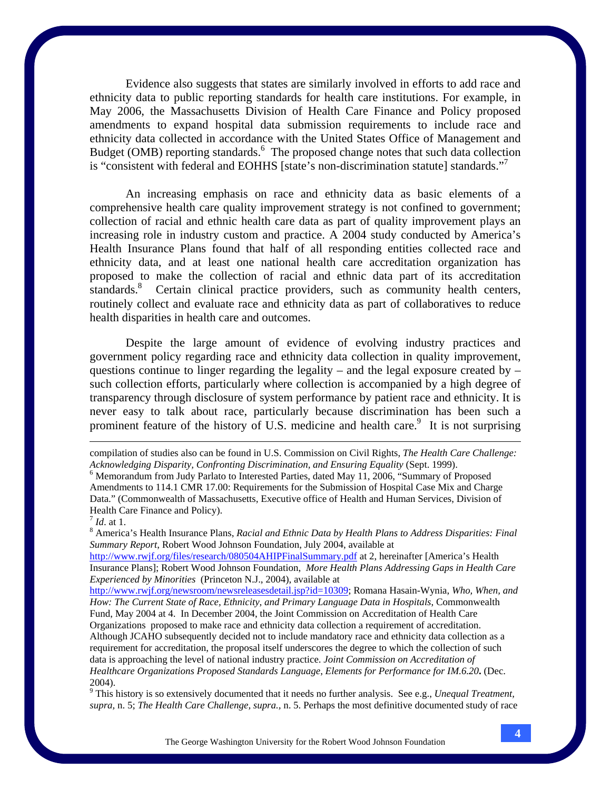Evidence also suggests that states are similarly involved in efforts to add race and ethnicity data to public reporting standards for health care institutions. For example, in May 2006, the Massachusetts Division of Health Care Finance and Policy proposed amendments to expand hospital data submission requirements to include race and ethnicity data collected in accordance with the United States Office of Management and Budget (OMB) reporting standards.<sup>6</sup> The proposed change notes that such data collection is "consistent with federal and EOHHS [state's non-discrimination statute] standards."<sup>7</sup>

An increasing emphasis on race and ethnicity data as basic elements of a comprehensive health care quality improvement strategy is not confined to government; collection of racial and ethnic health care data as part of quality improvement plays an increasing role in industry custom and practice. A 2004 study conducted by America's Health Insurance Plans found that half of all responding entities collected race and ethnicity data, and at least one national health care accreditation organization has proposed to make the collection of racial and ethnic data part of its accreditation standards.<sup>8</sup> Certain clinical practice providers, such as community health centers, routinely collect and evaluate race and ethnicity data as part of collaboratives to reduce health disparities in health care and outcomes.

 Despite the large amount of evidence of evolving industry practices and government policy regarding race and ethnicity data collection in quality improvement, questions continue to linger regarding the legality – and the legal exposure created by – such collection efforts, particularly where collection is accompanied by a high degree of transparency through disclosure of system performance by patient race and ethnicity. It is never easy to talk about race, particularly because discrimination has been such a prominent feature of the history of U.S. medicine and health care. It is not surprising

<sup>8</sup> America's Health Insurance Plans, *Racial and Ethnic Data by Health Plans to Address Disparities: Final <sup>8</sup> Summary Report*, Robert Wood Johnson Foundation, July 2004, available at

http://www.rwjf.org/files/research/080504AHIPFinalSummary.pdf at 2, hereinafter [America's Health Insurance Plans]; Robert Wood Johnson Foundation, *More Health Plans Addressing Gaps in Health Care Experienced by Minorities* (Princeton N.J., 2004), available at

http://www.rwjf.org/newsroom/newsreleasesdetail.jsp?id=10309; Romana Hasain-Wynia, *Who, When, and How: The Current State of Race, Ethnicity, and Primary Language Data in Hospitals*, Commonwealth Fund, May 2004 at 4. In December 2004, the Joint Commission on Accreditation of Health Care Organizations proposed to make race and ethnicity data collection a requirement of accreditation. Although JCAHO subsequently decided not to include mandatory race and ethnicity data collection as a requirement for accreditation, the proposal itself underscores the degree to which the collection of such data is approaching the level of national industry practice. *Joint Commission on Accreditation of Healthcare Organizations Proposed Standards Language*, *Elements for Performance for IM.6.20***.** (Dec. 2004).

9 This history is so extensively documented that it needs no further analysis. See e.g., *Unequal Treatment, supra,* n. 5; *The Health Care Challenge, supra.,* n. 5. Perhaps the most definitive documented study of race

compilation of studies also can be found in U.S. Commission on Civil Rights, *The Health Care Challenge: Acknowledging Disparity, Confronting Discrimination, and Ensuring Equality (Sept. 1999).* 

<sup>&</sup>lt;sup>6</sup> Memorandum from Judy Parlato to Interested Parties, dated May 11, 2006, "Summary of Proposed Amendments to 114.1 CMR 17.00: Requirements for the Submission of Hospital Case Mix and Charge Data." (Commonwealth of Massachusetts, Executive office of Health and Human Services, Division of Health Care Finance and Policy).

 $^7$  *Id.* at 1.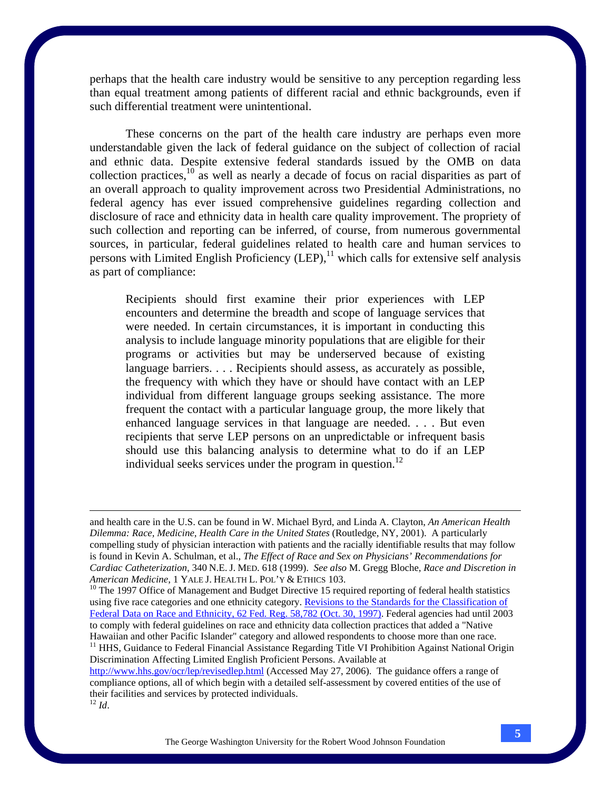perhaps that the health care industry would be sensitive to any perception regarding less than equal treatment among patients of different racial and ethnic backgrounds, even if such differential treatment were unintentional.

These concerns on the part of the health care industry are perhaps even more understandable given the lack of federal guidance on the subject of collection of racial and ethnic data. Despite extensive federal standards issued by the OMB on data collection practices, $10$  as well as nearly a decade of focus on racial disparities as part of an overall approach to quality improvement across two Presidential Administrations, no federal agency has ever issued comprehensive guidelines regarding collection and disclosure of race and ethnicity data in health care quality improvement. The propriety of such collection and reporting can be inferred, of course, from numerous governmental sources, in particular, federal guidelines related to health care and human services to persons with Limited English Proficiency  $(LEP)$ ,<sup>11</sup> which calls for extensive self analysis as part of compliance:

Recipients should first examine their prior experiences with LEP encounters and determine the breadth and scope of language services that were needed. In certain circumstances, it is important in conducting this analysis to include language minority populations that are eligible for their programs or activities but may be underserved because of existing language barriers. . . . Recipients should assess, as accurately as possible, the frequency with which they have or should have contact with an LEP individual from different language groups seeking assistance. The more frequent the contact with a particular language group, the more likely that enhanced language services in that language are needed. . . . But even recipients that serve LEP persons on an unpredictable or infrequent basis should use this balancing analysis to determine what to do if an LEP individual seeks services under the program in question.<sup>12</sup>

http://www.hhs.gov/ocr/lep/revisedlep.html (Accessed May 27, 2006). The guidance offers a range of compliance options, all of which begin with a detailed self-assessment by covered entities of the use of their facilities and services by protected individuals.  $12$  *Id.* 

and health care in the U.S. can be found in W. Michael Byrd, and Linda A. Clayton, *An American Health Dilemma: Race, Medicine, Health Care in the United States* (Routledge, NY, 2001). A particularly compelling study of physician interaction with patients and the racially identifiable results that may follow is found in Kevin A. Schulman, et al., *The Effect of Race and Sex on Physicians' Recommendations for Cardiac Catheterization*, 340 N.E. J. MED. 618 (1999). *See also* M. Gregg Bloche, *Race and Discretion in* 

*American Medicine*, 1 YALE J. HEALTH L. POL'Y & ETHICS 103.<br><sup>10</sup> The 1997 Office of Management and Budget Directive 15 required reporting of federal health statistics using five race categories and one ethnicity category. Revisions to the Standards for the Classification of Federal Data on Race and Ethnicity, 62 Fed. Reg. 58,782 (Oct. 30, 1997). Federal agencies had until 2003 to comply with federal guidelines on race and ethnicity data collection practices that added a "Native Hawaiian and other Pacific Islander" category and allowed respondents to choose more than one race. <sup>11</sup> HHS, Guidance to Federal Financial Assistance Regarding Title VI Prohibition Against National Origin Discrimination Affecting Limited English Proficient Persons. Available at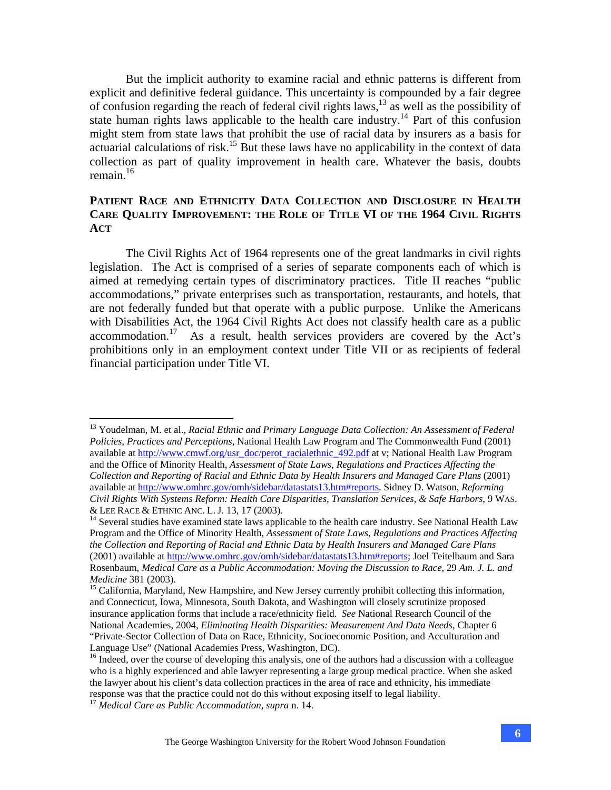But the implicit authority to examine racial and ethnic patterns is different from explicit and definitive federal guidance. This uncertainty is compounded by a fair degree of confusion regarding the reach of federal civil rights laws,  $13$  as well as the possibility of state human rights laws applicable to the health care industry.<sup>14</sup> Part of this confusion might stem from state laws that prohibit the use of racial data by insurers as a basis for actuarial calculations of risk.<sup>15</sup> But these laws have no applicability in the context of data collection as part of quality improvement in health care. Whatever the basis, doubts remain. $16$ 

# **PATIENT RACE AND ETHNICITY DATA COLLECTION AND DISCLOSURE IN HEALTH CARE QUALITY IMPROVEMENT: THE ROLE OF TITLE VI OF THE 1964 CIVIL RIGHTS ACT**

 The Civil Rights Act of 1964 represents one of the great landmarks in civil rights legislation. The Act is comprised of a series of separate components each of which is aimed at remedying certain types of discriminatory practices. Title II reaches "public accommodations," private enterprises such as transportation, restaurants, and hotels, that are not federally funded but that operate with a public purpose. Unlike the Americans with Disabilities Act, the 1964 Civil Rights Act does not classify health care as a public accommodation.17 As a result, health services providers are covered by the Act's prohibitions only in an employment context under Title VII or as recipients of federal financial participation under Title VI.

<u>.</u>

<sup>13</sup> Youdelman, M. et al., *Racial Ethnic and Primary Language Data Collection: An Assessment of Federal Policies, Practices and Perceptions*, National Health Law Program and The Commonwealth Fund (2001) available at http://www.cmwf.org/usr\_doc/perot\_racialethnic\_492.pdf at v; National Health Law Program and the Office of Minority Health, *Assessment of State Laws, Regulations and Practices Affecting the Collection and Reporting of Racial and Ethnic Data by Health Insurers and Managed Care Plans* (2001) available at http://www.omhrc.gov/omh/sidebar/datastats13.htm#reports. Sidney D. Watson, *Reforming Civil Rights With Systems Reform: Health Care Disparities, Translation Services, & Safe Harbors*, 9 WAS. & LEE RACE & ETHNIC ANC. L. J. 13, 17 (2003). 14 Several studies have examined state laws applicable to the health care industry. See National Health Law

Program and the Office of Minority Health, *Assessment of State Laws, Regulations and Practices Affecting the Collection and Reporting of Racial and Ethnic Data by Health Insurers and Managed Care Plans* (2001) available at http://www.omhrc.gov/omh/sidebar/datastats13.htm#reports; Joel Teitelbaum and Sara Rosenbaum, *Medical Care as a Public Accommodation: Moving the Discussion to Race*, 29 *Am. J. L. and Medicine* 381 (2003).<br><sup>15</sup> California, Maryland, New Hampshire, and New Jersey currently prohibit collecting this information,

and Connecticut, Iowa, Minnesota, South Dakota, and Washington will closely scrutinize proposed insurance application forms that include a race/ethnicity field. *See* National Research Council of the National Academies, 2004, *Eliminating Health Disparities: Measurement And Data Needs*, Chapter 6 "Private-Sector Collection of Data on Race, Ethnicity, Socioeconomic Position, and Acculturation and Language Use" (National Academies Press, Washington, DC).

<sup>&</sup>lt;sup>16</sup> Indeed, over the course of developing this analysis, one of the authors had a discussion with a colleague who is a highly experienced and able lawyer representing a large group medical practice. When she asked the lawyer about his client's data collection practices in the area of race and ethnicity, his immediate response was that the practice could not do this without exposing itself to legal liability.

<sup>17</sup> *Medical Care as Public Accommodation*, *supra* n. 14.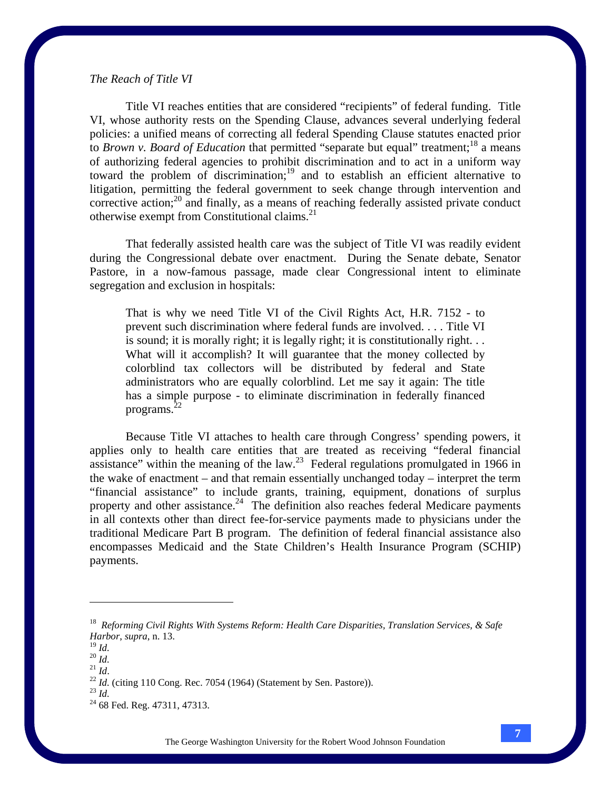## *The Reach of Title VI*

Title VI reaches entities that are considered "recipients" of federal funding. Title VI, whose authority rests on the Spending Clause, advances several underlying federal policies: a unified means of correcting all federal Spending Clause statutes enacted prior to *Brown v. Board of Education* that permitted "separate but equal" treatment;<sup>18</sup> a means of authorizing federal agencies to prohibit discrimination and to act in a uniform way toward the problem of discrimination;<sup>19</sup> and to establish an efficient alternative to litigation, permitting the federal government to seek change through intervention and corrective action; $^{20}$  and finally, as a means of reaching federally assisted private conduct otherwise exempt from Constitutional claims.21

That federally assisted health care was the subject of Title VI was readily evident during the Congressional debate over enactment. During the Senate debate, Senator Pastore, in a now-famous passage, made clear Congressional intent to eliminate segregation and exclusion in hospitals:

That is why we need Title VI of the Civil Rights Act, H.R. 7152 - to prevent such discrimination where federal funds are involved. . . . Title VI is sound; it is morally right; it is legally right; it is constitutionally right. . . What will it accomplish? It will guarantee that the money collected by colorblind tax collectors will be distributed by federal and State administrators who are equally colorblind. Let me say it again: The title has a simple purpose - to eliminate discrimination in federally financed programs. $^{22}$ 

 Because Title VI attaches to health care through Congress' spending powers, it applies only to health care entities that are treated as receiving "federal financial assistance" within the meaning of the law.<sup>23</sup> Federal regulations promulgated in 1966 in the wake of enactment – and that remain essentially unchanged today – interpret the term "financial assistance" to include grants, training, equipment, donations of surplus property and other assistance.<sup>24</sup> The definition also reaches federal Medicare payments in all contexts other than direct fee-for-service payments made to physicians under the traditional Medicare Part B program. The definition of federal financial assistance also encompasses Medicaid and the State Children's Health Insurance Program (SCHIP) payments.

<sup>18</sup> *Reforming Civil Rights With Systems Reform: Health Care Disparities, Translation Services, & Safe Harbor*, *supra*, n. 13.

<sup>&</sup>lt;sup>20</sup> *Id.* <sup>21</sup> *Id.* <sup>21</sup> *Id.* <sup>22</sup> *Id.* (citing 110 Cong. Rec. 7054 (1964) (Statement by Sen. Pastore)). <sup>23</sup> *Id.* <sup>24</sup> 68 Fed. Reg. 47311, 47313.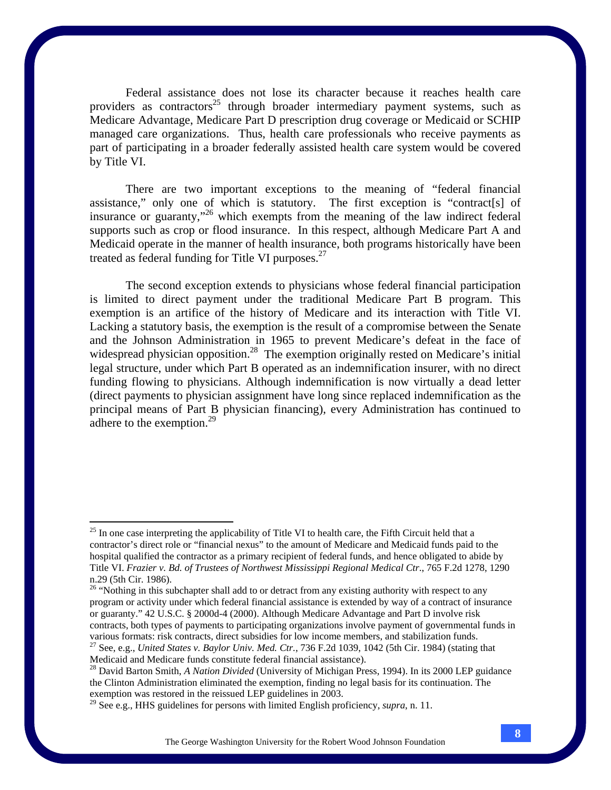Federal assistance does not lose its character because it reaches health care providers as contractors<sup>25</sup> through broader intermediary payment systems, such as Medicare Advantage, Medicare Part D prescription drug coverage or Medicaid or SCHIP managed care organizations. Thus, health care professionals who receive payments as part of participating in a broader federally assisted health care system would be covered by Title VI.

There are two important exceptions to the meaning of "federal financial assistance," only one of which is statutory. The first exception is "contract[s] of insurance or guaranty,"26 which exempts from the meaning of the law indirect federal supports such as crop or flood insurance. In this respect, although Medicare Part A and Medicaid operate in the manner of health insurance, both programs historically have been treated as federal funding for Title VI purposes. $27$ 

The second exception extends to physicians whose federal financial participation is limited to direct payment under the traditional Medicare Part B program. This exemption is an artifice of the history of Medicare and its interaction with Title VI. Lacking a statutory basis, the exemption is the result of a compromise between the Senate and the Johnson Administration in 1965 to prevent Medicare's defeat in the face of widespread physician opposition.<sup>28</sup> The exemption originally rested on Medicare's initial legal structure, under which Part B operated as an indemnification insurer, with no direct funding flowing to physicians. Although indemnification is now virtually a dead letter (direct payments to physician assignment have long since replaced indemnification as the principal means of Part B physician financing), every Administration has continued to adhere to the exemption. $2^9$ 

 $^{25}$  In one case interpreting the applicability of Title VI to health care, the Fifth Circuit held that a contractor's direct role or "financial nexus" to the amount of Medicare and Medicaid funds paid to the hospital qualified the contractor as a primary recipient of federal funds, and hence obligated to abide by Title VI. *Frazier v. Bd. of Trustees of Northwest Mississippi Regional Medical Ctr*., 765 F.2d 1278, 1290 n.29 (5th Cir. 1986).

<sup>&</sup>lt;sup>26</sup> "Nothing in this subchapter shall add to or detract from any existing authority with respect to any program or activity under which federal financial assistance is extended by way of a contract of insurance or guaranty." 42 U.S.C. § 2000d-4 (2000). Although Medicare Advantage and Part D involve risk contracts, both types of payments to participating organizations involve payment of governmental funds in various formats: risk contracts, direct subsidies for low income members, and stabilization funds.

<sup>&</sup>lt;sup>27</sup> See, e.g., United States v. Baylor Univ. Med. Ctr., 736 F.2d 1039, 1042 (5th Cir. 1984) (stating that Medicaid and Medicare funds constitute federal financial assistance).

<sup>28</sup> David Barton Smith, *A Nation Divided* (University of Michigan Press, 1994). In its 2000 LEP guidance the Clinton Administration eliminated the exemption, finding no legal basis for its continuation. The exemption was restored in the reissued LEP guidelines in 2003.

<sup>29</sup> See e.g., HHS guidelines for persons with limited English proficiency, *supra*, n. 11.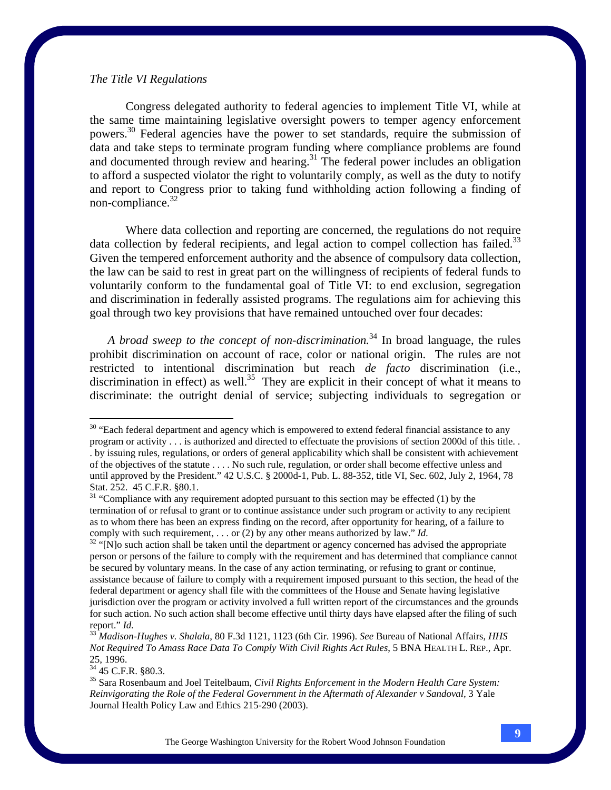### *The Title VI Regulations*

 Congress delegated authority to federal agencies to implement Title VI, while at the same time maintaining legislative oversight powers to temper agency enforcement powers.30 Federal agencies have the power to set standards, require the submission of data and take steps to terminate program funding where compliance problems are found and documented through review and hearing.<sup>31</sup> The federal power includes an obligation to afford a suspected violator the right to voluntarily comply, as well as the duty to notify and report to Congress prior to taking fund withholding action following a finding of non-compliance. $32$ 

 Where data collection and reporting are concerned, the regulations do not require data collection by federal recipients, and legal action to compel collection has failed.<sup>33</sup> Given the tempered enforcement authority and the absence of compulsory data collection, the law can be said to rest in great part on the willingness of recipients of federal funds to voluntarily conform to the fundamental goal of Title VI: to end exclusion, segregation and discrimination in federally assisted programs. The regulations aim for achieving this goal through two key provisions that have remained untouched over four decades:

*A broad sweep to the concept of non-discrimination.*<sup>34</sup> In broad language, the rules prohibit discrimination on account of race, color or national origin. The rules are not restricted to intentional discrimination but reach *de facto* discrimination (i.e., discrimination in effect) as well.<sup>35</sup> They are explicit in their concept of what it means to discriminate: the outright denial of service; subjecting individuals to segregation or

<sup>34</sup> 45 C.F.R. §80.3.

<sup>&</sup>lt;sup>30</sup> "Each federal department and agency which is empowered to extend federal financial assistance to any program or activity . . . is authorized and directed to effectuate the provisions of section 2000d of this title. . . by issuing rules, regulations, or orders of general applicability which shall be consistent with achievement of the objectives of the statute . . . . No such rule, regulation, or order shall become effective unless and until approved by the President." 42 U.S.C. § 2000d-1, Pub. L. 88-352, title VI, Sec. 602, July 2, 1964, 78 Stat. 252. 45 C.F.R. §80.1.

 $31$  "Compliance with any requirement adopted pursuant to this section may be effected (1) by the termination of or refusal to grant or to continue assistance under such program or activity to any recipient as to whom there has been an express finding on the record, after opportunity for hearing, of a failure to comply with such requirement, . . . or (2) by any other means authorized by law." *Id.* <sup>32</sup> "[N]o such action shall be taken until the department or agency concerned has advised the appropriate

person or persons of the failure to comply with the requirement and has determined that compliance cannot be secured by voluntary means. In the case of any action terminating, or refusing to grant or continue, assistance because of failure to comply with a requirement imposed pursuant to this section, the head of the federal department or agency shall file with the committees of the House and Senate having legislative jurisdiction over the program or activity involved a full written report of the circumstances and the grounds for such action. No such action shall become effective until thirty days have elapsed after the filing of such report." *Id.* <sup>33</sup> *Madison-Hughes v. Shalala*, 80 F.3d 1121, 1123 (6th Cir. 1996). *See* Bureau of National Affairs, *HHS* 

*Not Required To Amass Race Data To Comply With Civil Rights Act Rules*, 5 BNA HEALTH L. REP., Apr. 25, 1996.

<sup>35</sup> Sara Rosenbaum and Joel Teitelbaum, *Civil Rights Enforcement in the Modern Health Care System: Reinvigorating the Role of the Federal Government in the Aftermath of Alexander v Sandoval,* 3 Yale Journal Health Policy Law and Ethics 215-290 (2003).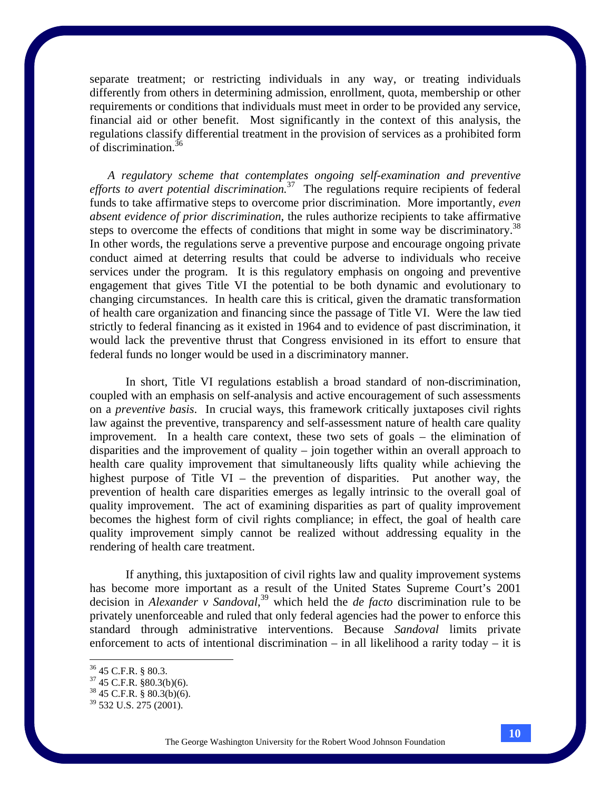separate treatment; or restricting individuals in any way, or treating individuals differently from others in determining admission, enrollment, quota, membership or other requirements or conditions that individuals must meet in order to be provided any service, financial aid or other benefit. Most significantly in the context of this analysis, the regulations classify differential treatment in the provision of services as a prohibited form of discrimination.36

*A regulatory scheme that contemplates ongoing self-examination and preventive efforts to avert potential discrimination.*37 The regulations require recipients of federal funds to take affirmative steps to overcome prior discrimination. More importantly, *even absent evidence of prior discrimination*, the rules authorize recipients to take affirmative steps to overcome the effects of conditions that might in some way be discriminatory.<sup>38</sup> In other words, the regulations serve a preventive purpose and encourage ongoing private conduct aimed at deterring results that could be adverse to individuals who receive services under the program. It is this regulatory emphasis on ongoing and preventive engagement that gives Title VI the potential to be both dynamic and evolutionary to changing circumstances. In health care this is critical, given the dramatic transformation of health care organization and financing since the passage of Title VI. Were the law tied strictly to federal financing as it existed in 1964 and to evidence of past discrimination, it would lack the preventive thrust that Congress envisioned in its effort to ensure that federal funds no longer would be used in a discriminatory manner.

In short, Title VI regulations establish a broad standard of non-discrimination, coupled with an emphasis on self-analysis and active encouragement of such assessments on a *preventive basis*. In crucial ways, this framework critically juxtaposes civil rights law against the preventive, transparency and self-assessment nature of health care quality improvement. In a health care context, these two sets of goals – the elimination of disparities and the improvement of quality – join together within an overall approach to health care quality improvement that simultaneously lifts quality while achieving the highest purpose of Title VI – the prevention of disparities. Put another way, the prevention of health care disparities emerges as legally intrinsic to the overall goal of quality improvement. The act of examining disparities as part of quality improvement becomes the highest form of civil rights compliance; in effect, the goal of health care quality improvement simply cannot be realized without addressing equality in the rendering of health care treatment.

If anything, this juxtaposition of civil rights law and quality improvement systems has become more important as a result of the United States Supreme Court's 2001 decision in *Alexander v Sandoval*, 39 which held the *de facto* discrimination rule to be privately unenforceable and ruled that only federal agencies had the power to enforce this standard through administrative interventions. Because *Sandoval* limits private enforcement to acts of intentional discrimination – in all likelihood a rarity today – it is

<sup>36 45</sup> C.F.R. § 80.3.

 $37$  45 C.F.R. §80.3(b)(6).

 $38\,45$  C.F.R. § 80.3(b)(6).

<sup>39 532</sup> U.S. 275 (2001).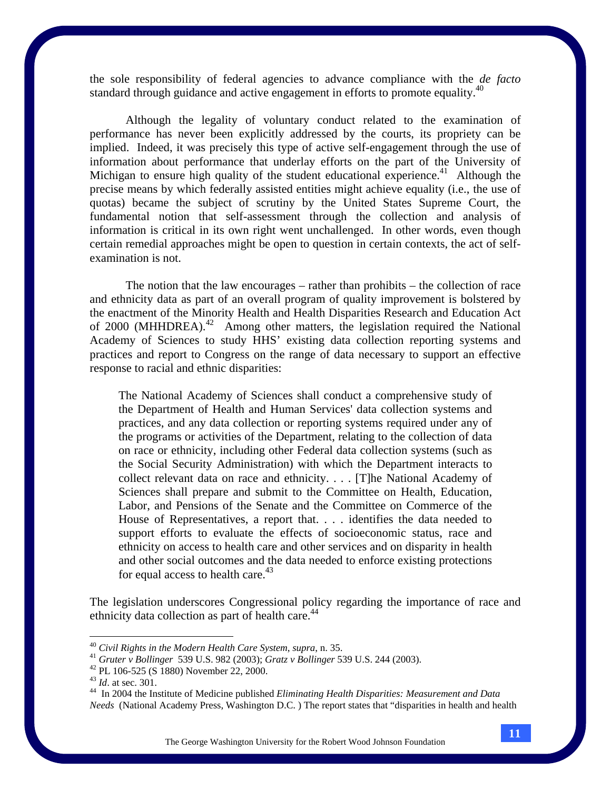the sole responsibility of federal agencies to advance compliance with the *de facto*  standard through guidance and active engagement in efforts to promote equality.<sup>40</sup>

Although the legality of voluntary conduct related to the examination of performance has never been explicitly addressed by the courts, its propriety can be implied. Indeed, it was precisely this type of active self-engagement through the use of information about performance that underlay efforts on the part of the University of Michigan to ensure high quality of the student educational experience.<sup>41</sup> Although the precise means by which federally assisted entities might achieve equality (i.e., the use of quotas) became the subject of scrutiny by the United States Supreme Court, the fundamental notion that self-assessment through the collection and analysis of information is critical in its own right went unchallenged. In other words, even though certain remedial approaches might be open to question in certain contexts, the act of selfexamination is not.

The notion that the law encourages – rather than prohibits – the collection of race and ethnicity data as part of an overall program of quality improvement is bolstered by the enactment of the Minority Health and Health Disparities Research and Education Act of 2000 (MHHDREA).<sup>42</sup> Among other matters, the legislation required the National Academy of Sciences to study HHS' existing data collection reporting systems and practices and report to Congress on the range of data necessary to support an effective response to racial and ethnic disparities:

The National Academy of Sciences shall conduct a comprehensive study of the Department of Health and Human Services' data collection systems and practices, and any data collection or reporting systems required under any of the programs or activities of the Department, relating to the collection of data on race or ethnicity, including other Federal data collection systems (such as the Social Security Administration) with which the Department interacts to collect relevant data on race and ethnicity. . . . [T]he National Academy of Sciences shall prepare and submit to the Committee on Health, Education, Labor, and Pensions of the Senate and the Committee on Commerce of the House of Representatives, a report that. . . . identifies the data needed to support efforts to evaluate the effects of socioeconomic status, race and ethnicity on access to health care and other services and on disparity in health and other social outcomes and the data needed to enforce existing protections for equal access to health care.<sup>43</sup>

The legislation underscores Congressional policy regarding the importance of race and ethnicity data collection as part of health care.<sup>44</sup>

The George Washington University for the Robert Wood Johnson Foundation

 $40$  Civil Rights in the Modern Health Care System, supra, n. 35.

<sup>&</sup>lt;sup>41</sup> *Gruter v Bollinger* 539 U.S. 982 (2003); *Gratz v Bollinger* 539 U.S. 244 (2003).<br><sup>42</sup> PL 106-525 (S 1880) November 22, 2000.<br><sup>43</sup> *Id.* at sec. 301.

<sup>&</sup>lt;sup>44</sup> In 2004 the Institute of Medicine published *Eliminating Health Disparities: Measurement and Data Needs* (National Academy Press, Washington D.C. ) The report states that "disparities in health and health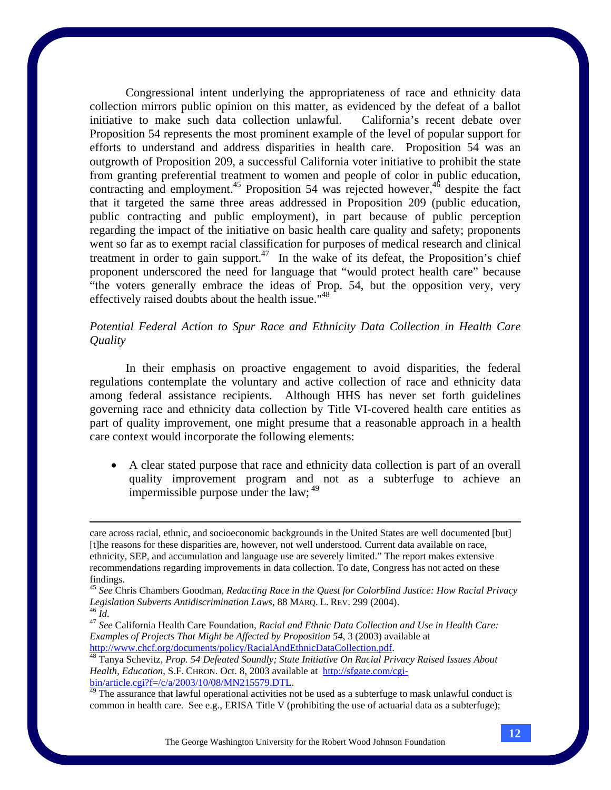Congressional intent underlying the appropriateness of race and ethnicity data collection mirrors public opinion on this matter, as evidenced by the defeat of a ballot initiative to make such data collection unlawful. California's recent debate over Proposition 54 represents the most prominent example of the level of popular support for efforts to understand and address disparities in health care. Proposition 54 was an outgrowth of Proposition 209, a successful California voter initiative to prohibit the state from granting preferential treatment to women and people of color in public education, contracting and employment.<sup>45</sup> Proposition 54 was rejected however,<sup>46</sup> despite the fact that it targeted the same three areas addressed in Proposition 209 (public education, public contracting and public employment), in part because of public perception regarding the impact of the initiative on basic health care quality and safety; proponents went so far as to exempt racial classification for purposes of medical research and clinical treatment in order to gain support.<sup>47</sup> In the wake of its defeat, the Proposition's chief proponent underscored the need for language that "would protect health care" because "the voters generally embrace the ideas of Prop. 54, but the opposition very, very effectively raised doubts about the health issue."<sup>48</sup>

# *Potential Federal Action to Spur Race and Ethnicity Data Collection in Health Care Quality*

 In their emphasis on proactive engagement to avoid disparities, the federal regulations contemplate the voluntary and active collection of race and ethnicity data among federal assistance recipients. Although HHS has never set forth guidelines governing race and ethnicity data collection by Title VI-covered health care entities as part of quality improvement, one might presume that a reasonable approach in a health care context would incorporate the following elements:

• A clear stated purpose that race and ethnicity data collection is part of an overall quality improvement program and not as a subterfuge to achieve an impermissible purpose under the law;  $49$ 

*Examples of Projects That Might be Affected by Proposition 54*, 3 (2003) available at http://www.chcf.org/documents/policy/RacialAndEthnicDataCollection.pdf. 48 Tanya Schevitz, *Prop. 54 Defeated Soundly; State Initiative On Racial Privacy Raised Issues About* 

care across racial, ethnic, and socioeconomic backgrounds in the United States are well documented [but] [t]he reasons for these disparities are, however, not well understood. Current data available on race, ethnicity, SEP, and accumulation and language use are severely limited." The report makes extensive recommendations regarding improvements in data collection. To date, Congress has not acted on these findings.

<sup>45</sup> *See* Chris Chambers Goodman, *Redacting Race in the Quest for Colorblind Justice: How Racial Privacy Legislation Subverts Antidiscrimination Laws*, 88 MARQ. L. REV. 299 (2004).<br><sup>46</sup> *Id. And. And. And. And. Accerers And And Ethnic Data Collection and Use in Health Care: And 47 See* California Health Care:

*Health, Education*, S.F. CHRON. Oct. 8, 2003 available at http://sfgate.com/cgi- $\frac{\text{bin/article.cgi?f} = /c/a/2003/10/08/MN215579.DTL}{49}$ .<br><sup>49</sup> The assurance that lawful operational activities not be used as a subterfuge to mask unlawful conduct is

common in health care. See e.g., ERISA Title V (prohibiting the use of actuarial data as a subterfuge);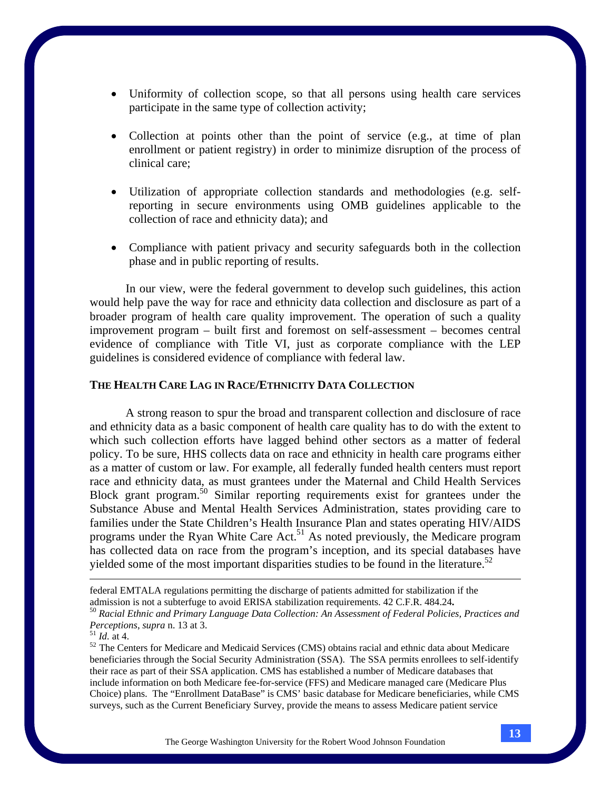- Uniformity of collection scope, so that all persons using health care services participate in the same type of collection activity;
- Collection at points other than the point of service (e.g., at time of plan enrollment or patient registry) in order to minimize disruption of the process of clinical care;
- Utilization of appropriate collection standards and methodologies (e.g. selfreporting in secure environments using OMB guidelines applicable to the collection of race and ethnicity data); and
- Compliance with patient privacy and security safeguards both in the collection phase and in public reporting of results.

In our view, were the federal government to develop such guidelines, this action would help pave the way for race and ethnicity data collection and disclosure as part of a broader program of health care quality improvement. The operation of such a quality improvement program – built first and foremost on self-assessment – becomes central evidence of compliance with Title VI, just as corporate compliance with the LEP guidelines is considered evidence of compliance with federal law.

## **THE HEALTH CARE LAG IN RACE/ETHNICITY DATA COLLECTION**

 A strong reason to spur the broad and transparent collection and disclosure of race and ethnicity data as a basic component of health care quality has to do with the extent to which such collection efforts have lagged behind other sectors as a matter of federal policy. To be sure, HHS collects data on race and ethnicity in health care programs either as a matter of custom or law. For example, all federally funded health centers must report race and ethnicity data, as must grantees under the Maternal and Child Health Services Block grant program.50 Similar reporting requirements exist for grantees under the Substance Abuse and Mental Health Services Administration, states providing care to families under the State Children's Health Insurance Plan and states operating HIV/AIDS programs under the Ryan White Care Act.<sup>51</sup> As noted previously, the Medicare program has collected data on race from the program's inception, and its special databases have yielded some of the most important disparities studies to be found in the literature.<sup>52</sup>

federal EMTALA regulations permitting the discharge of patients admitted for stabilization if the

admission is not a subterfuge to avoid ERISA stabilization requirements. 42 C.F.R. 484.24**.** <sup>50</sup> *Racial Ethnic and Primary Language Data Collection: An Assessment of Federal Policies, Practices and* 

<sup>&</sup>lt;sup>51</sup> *Id.* at 4. <sub>52</sub> *Id.* at 4. <sub>52</sub> The Centers for Medicare and Medicaid Services (CMS) obtains racial and ethnic data about Medicare beneficiaries through the Social Security Administration (SSA). The SSA permits enrollees to self-identify their race as part of their SSA application. CMS has established a number of Medicare databases that include information on both Medicare fee-for-service (FFS) and Medicare managed care (Medicare Plus Choice) plans. The "Enrollment DataBase" is CMS' basic database for Medicare beneficiaries, while CMS surveys, such as the Current Beneficiary Survey, provide the means to assess Medicare patient service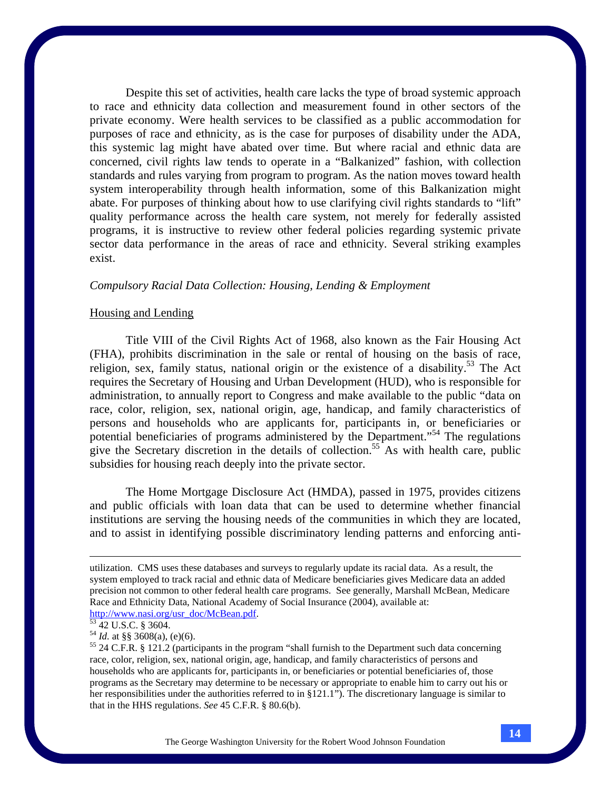Despite this set of activities, health care lacks the type of broad systemic approach to race and ethnicity data collection and measurement found in other sectors of the private economy. Were health services to be classified as a public accommodation for purposes of race and ethnicity, as is the case for purposes of disability under the ADA, this systemic lag might have abated over time. But where racial and ethnic data are concerned, civil rights law tends to operate in a "Balkanized" fashion, with collection standards and rules varying from program to program. As the nation moves toward health system interoperability through health information, some of this Balkanization might abate. For purposes of thinking about how to use clarifying civil rights standards to "lift" quality performance across the health care system, not merely for federally assisted programs, it is instructive to review other federal policies regarding systemic private sector data performance in the areas of race and ethnicity. Several striking examples exist.

## *Compulsory Racial Data Collection: Housing, Lending & Employment*

## Housing and Lending

 Title VIII of the Civil Rights Act of 1968, also known as the Fair Housing Act (FHA), prohibits discrimination in the sale or rental of housing on the basis of race, religion, sex, family status, national origin or the existence of a disability.<sup>53</sup> The Act requires the Secretary of Housing and Urban Development (HUD), who is responsible for administration, to annually report to Congress and make available to the public "data on race, color, religion, sex, national origin, age, handicap, and family characteristics of persons and households who are applicants for, participants in, or beneficiaries or potential beneficiaries of programs administered by the Department."54 The regulations give the Secretary discretion in the details of collection.<sup>55</sup> As with health care, public subsidies for housing reach deeply into the private sector.

 The Home Mortgage Disclosure Act (HMDA), passed in 1975, provides citizens and public officials with loan data that can be used to determine whether financial institutions are serving the housing needs of the communities in which they are located, and to assist in identifying possible discriminatory lending patterns and enforcing anti-

utilization. CMS uses these databases and surveys to regularly update its racial data. As a result, the system employed to track racial and ethnic data of Medicare beneficiaries gives Medicare data an added precision not common to other federal health care programs. See generally, Marshall McBean, Medicare Race and Ethnicity Data, National Academy of Social Insurance (2004), available at: http://www.nasi.org/usr\_doc/McBean.pdf.<br>
<sup>53</sup> 42 U.S.C. § 3604.<br>
<sup>54</sup> *Id.* at §§ 3608(a), (e)(6).

<sup>&</sup>lt;sup>55</sup> 24 C.F.R. § 121.2 (participants in the program "shall furnish to the Department such data concerning race, color, religion, sex, national origin, age, handicap, and family characteristics of persons and households who are applicants for, participants in, or beneficiaries or potential beneficiaries of, those programs as the Secretary may determine to be necessary or appropriate to enable him to carry out his or her responsibilities under the authorities referred to in §121.1"). The discretionary language is similar to that in the HHS regulations. *See* 45 C.F.R. § 80.6(b).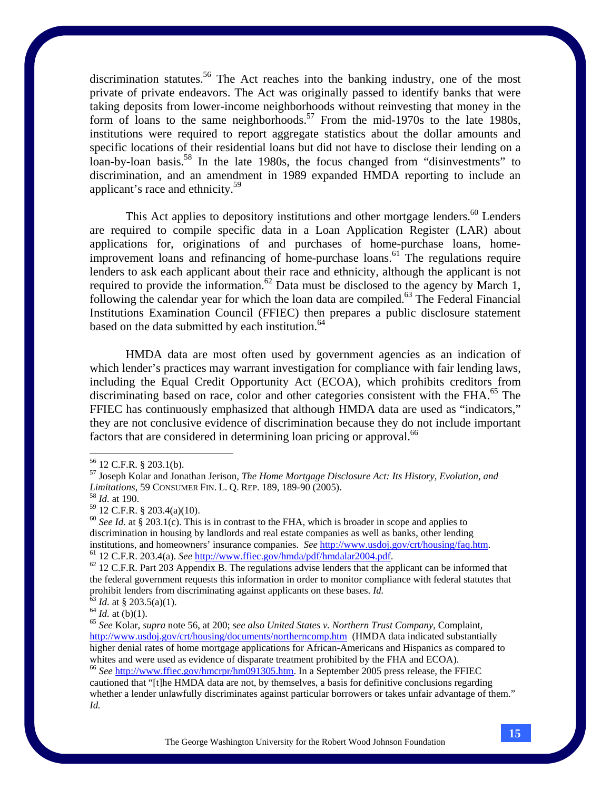discrimination statutes.<sup>56</sup> The Act reaches into the banking industry, one of the most private of private endeavors. The Act was originally passed to identify banks that were taking deposits from lower-income neighborhoods without reinvesting that money in the form of loans to the same neighborhoods.<sup>57</sup> From the mid-1970s to the late 1980s, institutions were required to report aggregate statistics about the dollar amounts and specific locations of their residential loans but did not have to disclose their lending on a loan-by-loan basis.<sup>58</sup> In the late 1980s, the focus changed from "disinvestments" to discrimination, and an amendment in 1989 expanded HMDA reporting to include an applicant's race and ethnicity.<sup>59</sup>

This Act applies to depository institutions and other mortgage lenders.<sup>60</sup> Lenders are required to compile specific data in a Loan Application Register (LAR) about applications for, originations of and purchases of home-purchase loans, homeimprovement loans and refinancing of home-purchase loans.<sup>61</sup> The regulations require lenders to ask each applicant about their race and ethnicity, although the applicant is not required to provide the information.<sup>62</sup> Data must be disclosed to the agency by March 1, following the calendar year for which the loan data are compiled.<sup>63</sup> The Federal Financial Institutions Examination Council (FFIEC) then prepares a public disclosure statement based on the data submitted by each institution.<sup>64</sup>

HMDA data are most often used by government agencies as an indication of which lender's practices may warrant investigation for compliance with fair lending laws, including the Equal Credit Opportunity Act (ECOA), which prohibits creditors from discriminating based on race, color and other categories consistent with the  $FHA$ .<sup>65</sup> The FFIEC has continuously emphasized that although HMDA data are used as "indicators," they are not conclusive evidence of discrimination because they do not include important factors that are considered in determining loan pricing or approval.<sup>66</sup>

 $56$  12 C.F.R. § 203.1(b).

<sup>57</sup> Joseph Kolar and Jonathan Jerison, *The Home Mortgage Disclosure Act: Its History, Evolution, and Limitations*, 59 CONSUMER FIN. L. Q. REP. 189, 189-90 (2005). 58 *Id.* at 190.

<sup>59 12</sup> C.F.R. § 203.4(a)(10).

<sup>&</sup>lt;sup>60</sup> See Id. at § 203.1(c). This is in contrast to the FHA, which is broader in scope and applies to discrimination in housing by landlords and real estate companies as well as banks, other lending institutions, and homeowners' insurance companies. *See* http://www.usdoj.gov/crt/housing/faq.htm.<br>
<sup>61</sup> 12 C.F.R. 203.4(a). *See* http://www.ffiec.gov/hmda/pdf/hmdalar2004.pdf.<br>
<sup>62</sup> 12 C.F.R. Part 203 Appendix B. The re

the federal government requests this information in order to monitor compliance with federal statutes that prohibit lenders from discriminating against applicants on these bases. *Id.*<br>
<sup>63</sup> *Id.* at § 203.5(a)(1).<br>
<sup>64</sup> *Id.* at (b)(1).<br>
<sup>65</sup> *See* Kolar, *supra* note 56, at 200; *see also United States v. Northern Trust Comp* 

http://www.usdoj.gov/crt/housing/documents/northerncomp.htm (HMDA data indicated substantially higher denial rates of home mortgage applications for African-Americans and Hispanics as compared to whites and were used as evidence of disparate treatment prohibited by the FHA and ECOA). <sup>66</sup> See http://www.ffiec.gov/hmcrpr/hm091305.htm. In a September 2005 press release, the FFIEC

cautioned that "[t]he HMDA data are not, by themselves, a basis for definitive conclusions regarding whether a lender unlawfully discriminates against particular borrowers or takes unfair advantage of them." *Id.*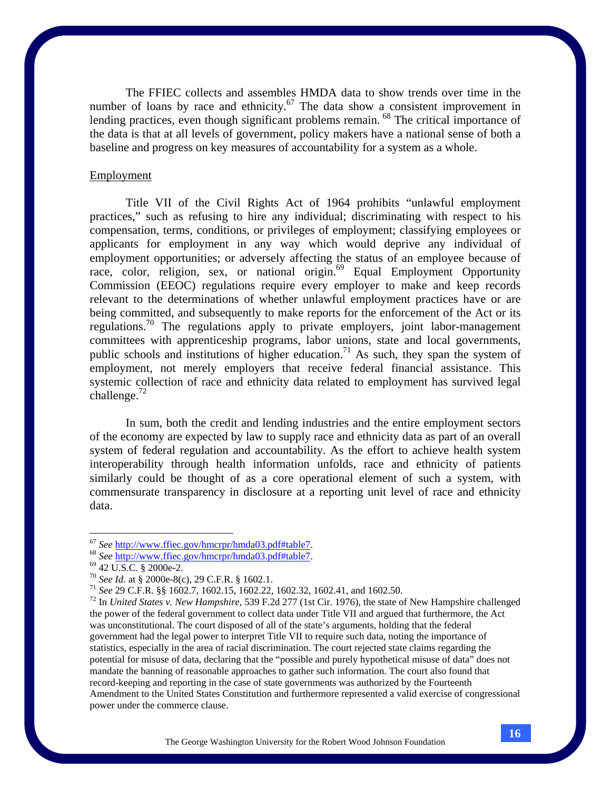The FFIEC collects and assembles HMDA data to show trends over time in the number of loans by race and ethnicity.<sup>67</sup> The data show a consistent improvement in lending practices, even though significant problems remain. <sup>68</sup> The critical importance of the data is that at all levels of government, policy makers have a national sense of both a baseline and progress on key measures of accountability for a system as a whole.

#### Employment

 Title VII of the Civil Rights Act of 1964 prohibits "unlawful employment practices," such as refusing to hire any individual; discriminating with respect to his compensation, terms, conditions, or privileges of employment; classifying employees or applicants for employment in any way which would deprive any individual of employment opportunities; or adversely affecting the status of an employee because of race, color, religion, sex, or national origin.<sup>69</sup> Equal Employment Opportunity Commission (EEOC) regulations require every employer to make and keep records relevant to the determinations of whether unlawful employment practices have or are being committed, and subsequently to make reports for the enforcement of the Act or its regulations.70 The regulations apply to private employers, joint labor-management committees with apprenticeship programs, labor unions, state and local governments, public schools and institutions of higher education.<sup>71</sup> As such, they span the system of employment, not merely employers that receive federal financial assistance. This systemic collection of race and ethnicity data related to employment has survived legal challenge. $72$ 

 In sum, both the credit and lending industries and the entire employment sectors of the economy are expected by law to supply race and ethnicity data as part of an overall system of federal regulation and accountability. As the effort to achieve health system interoperability through health information unfolds, race and ethnicity of patients similarly could be thought of as a core operational element of such a system, with commensurate transparency in disclosure at a reporting unit level of race and ethnicity data.

<sup>&</sup>lt;sup>67</sup> *See* <u>http://www.ffiec.gov/hmcrpr/hmda03.pdf#table7</u>.<br>
<sup>68</sup> *See* <u>http://www.ffiec.gov/hmcrpr/hmda03.pdf#table7</u>.<br>
<sup>69</sup> 42 U.S.C. § 2000e-2.<br>
<sup>70</sup> *See Id.* at § 2000e-8(c), 29 C.F.R. § 1602.1.

<sup>&</sup>lt;sup>71</sup> See 29 C.F.R. §§ 1602.7, 1602.15, 1602.22, 1602.32, 1602.41, and 1602.50.<br><sup>72</sup> In *United States v. New Hampshire*, 539 F.2d 277 (1st Cir. 1976), the state of New Hampshire challenged the power of the federal government to collect data under Title VII and argued that furthermore, the Act was unconstitutional. The court disposed of all of the state's arguments, holding that the federal government had the legal power to interpret Title VII to require such data, noting the importance of statistics, especially in the area of racial discrimination. The court rejected state claims regarding the potential for misuse of data, declaring that the "possible and purely hypothetical misuse of data" does not mandate the banning of reasonable approaches to gather such information. The court also found that record-keeping and reporting in the case of state governments was authorized by the Fourteenth Amendment to the United States Constitution and furthermore represented a valid exercise of congressional power under the commerce clause.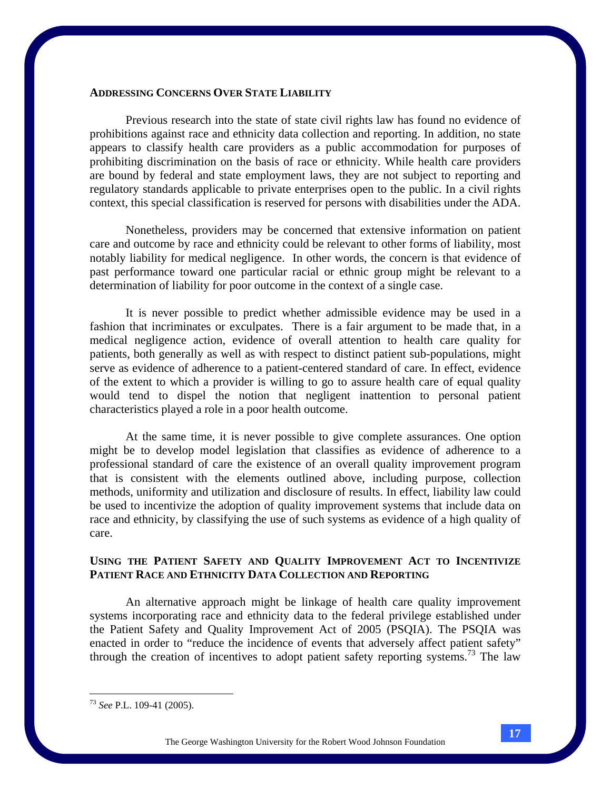## **ADDRESSING CONCERNS OVER STATE LIABILITY**

 Previous research into the state of state civil rights law has found no evidence of prohibitions against race and ethnicity data collection and reporting. In addition, no state appears to classify health care providers as a public accommodation for purposes of prohibiting discrimination on the basis of race or ethnicity. While health care providers are bound by federal and state employment laws, they are not subject to reporting and regulatory standards applicable to private enterprises open to the public. In a civil rights context, this special classification is reserved for persons with disabilities under the ADA.

 Nonetheless, providers may be concerned that extensive information on patient care and outcome by race and ethnicity could be relevant to other forms of liability, most notably liability for medical negligence. In other words, the concern is that evidence of past performance toward one particular racial or ethnic group might be relevant to a determination of liability for poor outcome in the context of a single case.

 It is never possible to predict whether admissible evidence may be used in a fashion that incriminates or exculpates. There is a fair argument to be made that, in a medical negligence action, evidence of overall attention to health care quality for patients, both generally as well as with respect to distinct patient sub-populations, might serve as evidence of adherence to a patient-centered standard of care. In effect, evidence of the extent to which a provider is willing to go to assure health care of equal quality would tend to dispel the notion that negligent inattention to personal patient characteristics played a role in a poor health outcome.

At the same time, it is never possible to give complete assurances. One option might be to develop model legislation that classifies as evidence of adherence to a professional standard of care the existence of an overall quality improvement program that is consistent with the elements outlined above, including purpose, collection methods, uniformity and utilization and disclosure of results. In effect, liability law could be used to incentivize the adoption of quality improvement systems that include data on race and ethnicity, by classifying the use of such systems as evidence of a high quality of care.

# **USING THE PATIENT SAFETY AND QUALITY IMPROVEMENT ACT TO INCENTIVIZE PATIENT RACE AND ETHNICITY DATA COLLECTION AND REPORTING**

An alternative approach might be linkage of health care quality improvement systems incorporating race and ethnicity data to the federal privilege established under the Patient Safety and Quality Improvement Act of 2005 (PSQIA). The PSQIA was enacted in order to "reduce the incidence of events that adversely affect patient safety" through the creation of incentives to adopt patient safety reporting systems.73 The law

1

<sup>73</sup> *See* P.L. 109-41 (2005).